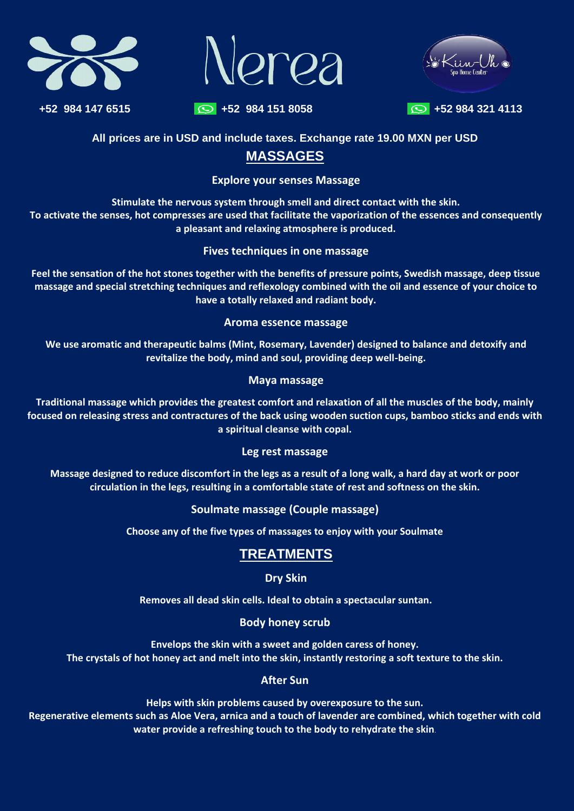





**+52 984 147 6515 +52 984 151 8058 +52 984 321 4113** 



#### **All prices are in USD and include taxes. Exchange rate 19.00 MXN per USD**

## **MASSAGES**

**Explore your senses Massage**

**Stimulate the nervous system through smell and direct contact with the skin. To activate the senses, hot compresses are used that facilitate the vaporization of the essences and consequently a pleasant and relaxing atmosphere is produced.**

## **Fives techniques in one massage**

**Feel the sensation of the hot stones together with the benefits of pressure points, Swedish massage, deep tissue massage and special stretching techniques and reflexology combined with the oil and essence of your choice to have a totally relaxed and radiant body.**

#### **Aroma essence massage**

**We use aromatic and therapeutic balms (Mint, Rosemary, Lavender) designed to balance and detoxify and revitalize the body, mind and soul, providing deep well-being.**

#### **Maya massage**

**Traditional massage which provides the greatest comfort and relaxation of all the muscles of the body, mainly focused on releasing stress and contractures of the back using wooden suction cups, bamboo sticks and ends with a spiritual cleanse with copal.**

## **Leg rest massage**

**Massage designed to reduce discomfort in the legs as a result of a long walk, a hard day at work or poor circulation in the legs, resulting in a comfortable state of rest and softness on the skin.**

**Soulmate massage (Couple massage)**

**Choose any of the five types of massages to enjoy with your Soulmate**

# **TREATMENTS**

## **Dry Skin**

**Removes all dead skin cells. Ideal to obtain a spectacular suntan.**

## **Body honey scrub**

#### **Envelops the skin with a sweet and golden caress of honey. The crystals of hot honey act and melt into the skin, instantly restoring a soft texture to the skin.**

#### **After Sun**

**Helps with skin problems caused by overexposure to the sun. Regenerative elements such as Aloe Vera, arnica and a touch of lavender are combined, which together with cold water provide a refreshing touch to the body to rehydrate the skin**.